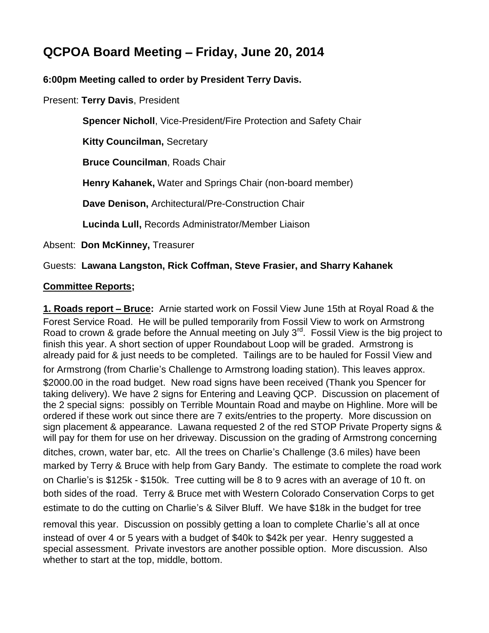# **QCPOA Board Meeting** – **Friday, June 20, 2014**

#### **6:00pm Meeting called to order by President Terry Davis.**

Present: **Terry Davis**, President

 **Spencer Nicholl**, Vice-President/Fire Protection and Safety Chair

 **Kitty Councilman,** Secretary

**Bruce Councilman**, Roads Chair

**Henry Kahanek,** Water and Springs Chair (non-board member)

**Dave Denison,** Architectural/Pre-Construction Chair

**Lucinda Lull,** Records Administrator/Member Liaison

Absent: **Don McKinney,** Treasurer

#### Guests: **Lawana Langston, Rick Coffman, Steve Frasier, and Sharry Kahanek**

#### **Committee Reports;**

**1. Roads report** – **Bruce:** Arnie started work on Fossil View June 15th at Royal Road & the Forest Service Road. He will be pulled temporarily from Fossil View to work on Armstrong Road to crown & grade before the Annual meeting on July 3<sup>rd</sup>. Fossil View is the big project to finish this year. A short section of upper Roundabout Loop will be graded. Armstrong is already paid for & just needs to be completed. Tailings are to be hauled for Fossil View and

for Armstrong (from Charlie's Challenge to Armstrong loading station). This leaves approx. \$2000.00 in the road budget. New road signs have been received (Thank you Spencer for taking delivery). We have 2 signs for Entering and Leaving QCP. Discussion on placement of the 2 special signs: possibly on Terrible Mountain Road and maybe on Highline. More will be ordered if these work out since there are 7 exits/entries to the property. More discussion on sign placement & appearance. Lawana requested 2 of the red STOP Private Property signs & will pay for them for use on her driveway. Discussion on the grading of Armstrong concerning ditches, crown, water bar, etc. All the trees on Charlie's Challenge (3.6 miles) have been marked by Terry & Bruce with help from Gary Bandy. The estimate to complete the road work on Charlie's is \$125k - \$150k. Tree cutting will be 8 to 9 acres with an average of 10 ft. on both sides of the road. Terry & Bruce met with Western Colorado Conservation Corps to get estimate to do the cutting on Charlie's & Silver Bluff. We have \$18k in the budget for tree removal this year. Discussion on possibly getting a loan to complete Charlie's all at once instead of over 4 or 5 years with a budget of \$40k to \$42k per year. Henry suggested a special assessment. Private investors are another possible option. More discussion. Also whether to start at the top, middle, bottom.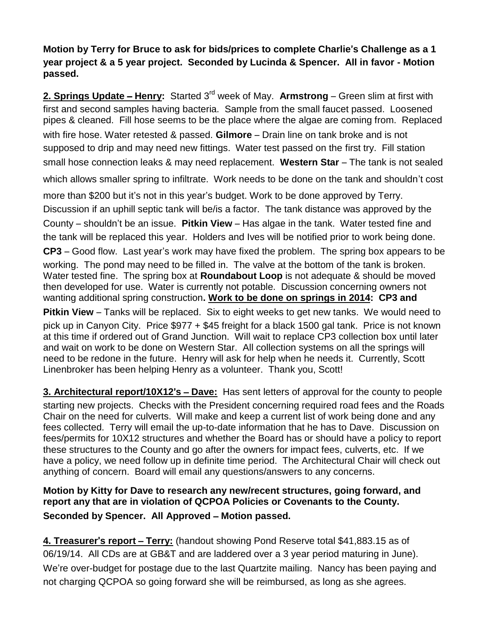**Motion by Terry for Bruce to ask for bids/prices to complete Charlie**'**s Challenge as a 1 year project & a 5 year project. Seconded by Lucinda & Spencer. All in favor - Motion passed.**

**2. Springs Update** – **Henry:** Started 3rd week of May. **Armstrong** – Green slim at first with first and second samples having bacteria. Sample from the small faucet passed. Loosened pipes & cleaned. Fill hose seems to be the place where the algae are coming from. Replaced with fire hose. Water retested & passed. **Gilmore** – Drain line on tank broke and is not supposed to drip and may need new fittings. Water test passed on the first try. Fill station small hose connection leaks & may need replacement. **Western Star** – The tank is not sealed which allows smaller spring to infiltrate. Work needs to be done on the tank and shouldn't cost

more than \$200 but it's not in this year's budget. Work to be done approved by Terry. Discussion if an uphill septic tank will be/is a factor. The tank distance was approved by the County – shouldn't be an issue. **Pitkin View** – Has algae in the tank. Water tested fine and the tank will be replaced this year. Holders and Ives will be notified prior to work being done.

**CP3** – Good flow. Last year's work may have fixed the problem. The spring box appears to be working. The pond may need to be filled in. The valve at the bottom of the tank is broken. Water tested fine. The spring box at **Roundabout Loop** is not adequate & should be moved then developed for use. Water is currently not potable. Discussion concerning owners not wanting additional spring construction**. Work to be done on springs in 2014: CP3 and** 

**Pitkin View** – Tanks will be replaced. Six to eight weeks to get new tanks. We would need to pick up in Canyon City. Price \$977 + \$45 freight for a black 1500 gal tank. Price is not known at this time if ordered out of Grand Junction. Will wait to replace CP3 collection box until later and wait on work to be done on Western Star. All collection systems on all the springs will need to be redone in the future. Henry will ask for help when he needs it. Currently, Scott Linenbroker has been helping Henry as a volunteer. Thank you, Scott!

**3. Architectural report/10X12**'**s** – **Dave:** Has sent letters of approval for the county to people starting new projects. Checks with the President concerning required road fees and the Roads Chair on the need for culverts. Will make and keep a current list of work being done and any fees collected. Terry will email the up-to-date information that he has to Dave. Discussion on fees/permits for 10X12 structures and whether the Board has or should have a policy to report these structures to the County and go after the owners for impact fees, culverts, etc. If we have a policy, we need follow up in definite time period. The Architectural Chair will check out anything of concern. Board will email any questions/answers to any concerns.

**Motion by Kitty for Dave to research any new/recent structures, going forward, and report any that are in violation of QCPOA Policies or Covenants to the County. Seconded by Spencer. All Approved** – **Motion passed.**

**4. Treasurer**'**s report** – **Terry:** (handout showing Pond Reserve total \$41,883.15 as of 06/19/14. All CDs are at GB&T and are laddered over a 3 year period maturing in June). We're over-budget for postage due to the last Quartzite mailing. Nancy has been paying and not charging QCPOA so going forward she will be reimbursed, as long as she agrees.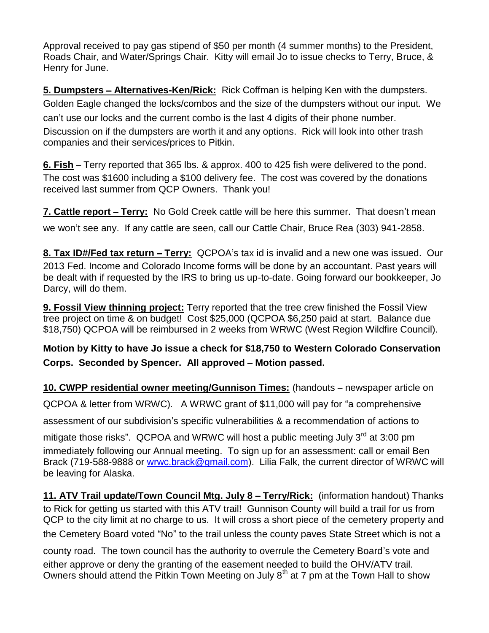Approval received to pay gas stipend of \$50 per month (4 summer months) to the President, Roads Chair, and Water/Springs Chair. Kitty will email Jo to issue checks to Terry, Bruce, & Henry for June.

**5. Dumpsters** – **Alternatives-Ken/Rick:** Rick Coffman is helping Ken with the dumpsters. Golden Eagle changed the locks/combos and the size of the dumpsters without our input. We can't use our locks and the current combo is the last 4 digits of their phone number. Discussion on if the dumpsters are worth it and any options. Rick will look into other trash companies and their services/prices to Pitkin.

**6. Fish** – Terry reported that 365 lbs. & approx. 400 to 425 fish were delivered to the pond. The cost was \$1600 including a \$100 delivery fee. The cost was covered by the donations received last summer from QCP Owners. Thank you!

**7. Cattle report – Terry:** No Gold Creek cattle will be here this summer. That doesn't mean we won't see any. If any cattle are seen, call our Cattle Chair, Bruce Rea (303) 941-2858.

**8. Tax ID#/Fed tax return** – **Terry:** QCPOA's tax id is invalid and a new one was issued. Our 2013 Fed. Income and Colorado Income forms will be done by an accountant. Past years will be dealt with if requested by the IRS to bring us up-to-date. Going forward our bookkeeper, Jo Darcy, will do them.

**9. Fossil View thinning project:** Terry reported that the tree crew finished the Fossil View tree project on time & on budget! Cost \$25,000 (QCPOA \$6,250 paid at start. Balance due \$18,750) QCPOA will be reimbursed in 2 weeks from WRWC (West Region Wildfire Council).

## **Motion by Kitty to have Jo issue a check for \$18,750 to Western Colorado Conservation Corps. Seconded by Spencer. All approved** – **Motion passed.**

**10. CWPP residential owner meeting/Gunnison Times:** (handouts – newspaper article on

QCPOA & letter from WRWC). A WRWC grant of \$11,000 will pay for "a comprehensive

assessment of our subdivision's specific vulnerabilities & a recommendation of actions to

mitigate those risks". QCPOA and WRWC will host a public meeting July 3<sup>rd</sup> at 3:00 pm immediately following our Annual meeting. To sign up for an assessment: call or email Ben Brack (719-588-9888 or [wrwc.brack@gmail.com\)](mailto:wrwc.brack@gmail.com). Lilia Falk, the current director of WRWC will be leaving for Alaska.

11. ATV Trail update/Town Council Mtg. July 8 - Terry/Rick: (information handout) Thanks to Rick for getting us started with this ATV trail! Gunnison County will build a trail for us from QCP to the city limit at no charge to us. It will cross a short piece of the cemetery property and the Cemetery Board voted "No" to the trail unless the county paves State Street which is not a

county road. The town council has the authority to overrule the Cemetery Board's vote and either approve or deny the granting of the easement needed to build the OHV/ATV trail. Owners should attend the Pitkin Town Meeting on July 8<sup>th</sup> at 7 pm at the Town Hall to show